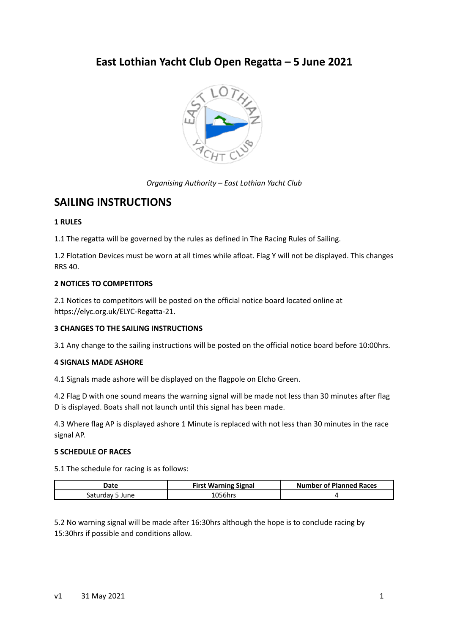# **East Lothian Yacht Club Open Regatta – 5 June 2021**



*Organising Authority – East Lothian Yacht Club*

# **SAILING INSTRUCTIONS**

# **1 RULES**

1.1 The regatta will be governed by the rules as defined in The Racing Rules of Sailing.

1.2 Flotation Devices must be worn at all times while afloat. Flag Y will not be displayed. This changes RRS 40.

# **2 NOTICES TO COMPETITORS**

2.1 Notices to competitors will be posted on the official notice board located online at https://elyc.org.uk/ELYC-Regatta-21.

# **3 CHANGES TO THE SAILING INSTRUCTIONS**

3.1 Any change to the sailing instructions will be posted on the official notice board before 10:00hrs.

## **4 SIGNALS MADE ASHORE**

4.1 Signals made ashore will be displayed on the flagpole on Elcho Green.

4.2 Flag D with one sound means the warning signal will be made not less than 30 minutes after flag D is displayed. Boats shall not launch until this signal has been made.

4.3 Where flag AP is displayed ashore 1 Minute is replaced with not less than 30 minutes in the race signal AP.

# **5 SCHEDULE OF RACES**

5.1 The schedule for racing is as follows:

| Date               | <b>First Warning Signal</b> | <b>Number of Planned Races</b> |
|--------------------|-----------------------------|--------------------------------|
| saturdav '<br>June | `056hrs                     |                                |

5.2 No warning signal will be made after 16:30hrs although the hope is to conclude racing by 15:30hrs if possible and conditions allow.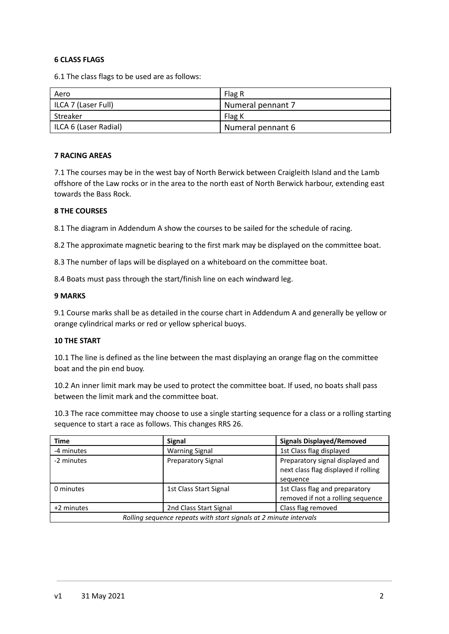## **6 CLASS FLAGS**

6.1 The class flags to be used are as follows:

| Aero                  | Flag R            |
|-----------------------|-------------------|
| ILCA 7 (Laser Full)   | Numeral pennant 7 |
| l Streaker            | Flag K            |
| ILCA 6 (Laser Radial) | Numeral pennant 6 |

# **7 RACING AREAS**

7.1 The courses may be in the west bay of North Berwick between Craigleith Island and the Lamb offshore of the Law rocks or in the area to the north east of North Berwick harbour, extending east towards the Bass Rock.

# **8 THE COURSES**

8.1 The diagram in Addendum A show the courses to be sailed for the schedule of racing.

8.2 The approximate magnetic bearing to the first mark may be displayed on the committee boat.

8.3 The number of laps will be displayed on a whiteboard on the committee boat.

8.4 Boats must pass through the start/finish line on each windward leg.

# **9 MARKS**

9.1 Course marks shall be as detailed in the course chart in Addendum A and generally be yellow or orange cylindrical marks or red or yellow spherical buoys.

### **10 THE START**

10.1 The line is defined as the line between the mast displaying an orange flag on the committee boat and the pin end buoy.

10.2 An inner limit mark may be used to protect the committee boat. If used, no boats shall pass between the limit mark and the committee boat.

10.3 The race committee may choose to use a single starting sequence for a class or a rolling starting sequence to start a race as follows. This changes RRS 26.

| Time                                                              | <b>Signal</b>             | <b>Signals Displayed/Removed</b>                                         |
|-------------------------------------------------------------------|---------------------------|--------------------------------------------------------------------------|
| -4 minutes                                                        | <b>Warning Signal</b>     | 1st Class flag displayed                                                 |
| -2 minutes                                                        | <b>Preparatory Signal</b> | Preparatory signal displayed and<br>next class flag displayed if rolling |
|                                                                   |                           | sequence                                                                 |
| 0 minutes                                                         | 1st Class Start Signal    | 1st Class flag and preparatory                                           |
|                                                                   |                           | removed if not a rolling sequence                                        |
| +2 minutes                                                        | 2nd Class Start Signal    | Class flag removed                                                       |
| Rolling sequence repeats with start signals at 2 minute intervals |                           |                                                                          |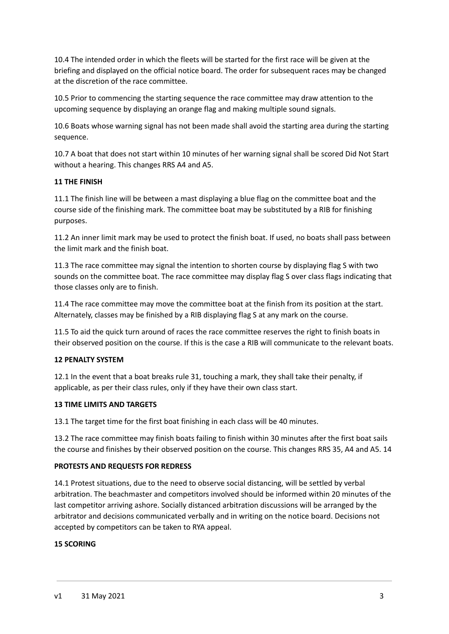10.4 The intended order in which the fleets will be started for the first race will be given at the briefing and displayed on the official notice board. The order for subsequent races may be changed at the discretion of the race committee.

10.5 Prior to commencing the starting sequence the race committee may draw attention to the upcoming sequence by displaying an orange flag and making multiple sound signals.

10.6 Boats whose warning signal has not been made shall avoid the starting area during the starting sequence.

10.7 A boat that does not start within 10 minutes of her warning signal shall be scored Did Not Start without a hearing. This changes RRS A4 and A5.

# **11 THE FINISH**

11.1 The finish line will be between a mast displaying a blue flag on the committee boat and the course side of the finishing mark. The committee boat may be substituted by a RIB for finishing purposes.

11.2 An inner limit mark may be used to protect the finish boat. If used, no boats shall pass between the limit mark and the finish boat.

11.3 The race committee may signal the intention to shorten course by displaying flag S with two sounds on the committee boat. The race committee may display flag S over class flags indicating that those classes only are to finish.

11.4 The race committee may move the committee boat at the finish from its position at the start. Alternately, classes may be finished by a RIB displaying flag S at any mark on the course.

11.5 To aid the quick turn around of races the race committee reserves the right to finish boats in their observed position on the course. If this is the case a RIB will communicate to the relevant boats.

# **12 PENALTY SYSTEM**

12.1 In the event that a boat breaks rule 31, touching a mark, they shall take their penalty, if applicable, as per their class rules, only if they have their own class start.

### **13 TIME LIMITS AND TARGETS**

13.1 The target time for the first boat finishing in each class will be 40 minutes.

13.2 The race committee may finish boats failing to finish within 30 minutes after the first boat sails the course and finishes by their observed position on the course. This changes RRS 35, A4 and A5. 14

### **PROTESTS AND REQUESTS FOR REDRESS**

14.1 Protest situations, due to the need to observe social distancing, will be settled by verbal arbitration. The beachmaster and competitors involved should be informed within 20 minutes of the last competitor arriving ashore. Socially distanced arbitration discussions will be arranged by the arbitrator and decisions communicated verbally and in writing on the notice board. Decisions not accepted by competitors can be taken to RYA appeal.

### **15 SCORING**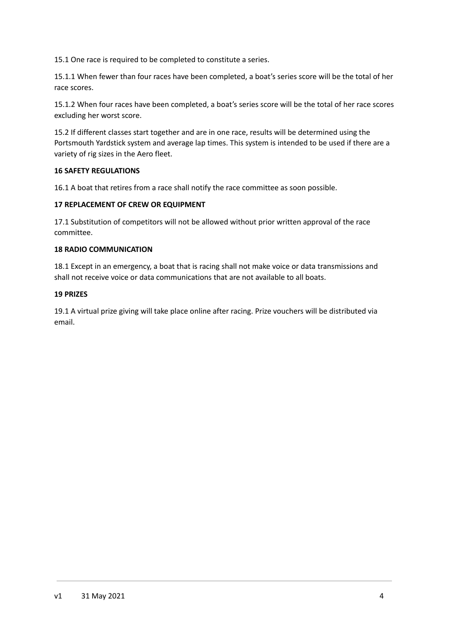15.1 One race is required to be completed to constitute a series.

15.1.1 When fewer than four races have been completed, a boat's series score will be the total of her race scores.

15.1.2 When four races have been completed, a boat's series score will be the total of her race scores excluding her worst score.

15.2 If different classes start together and are in one race, results will be determined using the Portsmouth Yardstick system and average lap times. This system is intended to be used if there are a variety of rig sizes in the Aero fleet.

# **16 SAFETY REGULATIONS**

16.1 A boat that retires from a race shall notify the race committee as soon possible.

# **17 REPLACEMENT OF CREW OR EQUIPMENT**

17.1 Substitution of competitors will not be allowed without prior written approval of the race committee.

# **18 RADIO COMMUNICATION**

18.1 Except in an emergency, a boat that is racing shall not make voice or data transmissions and shall not receive voice or data communications that are not available to all boats.

## **19 PRIZES**

19.1 A virtual prize giving will take place online after racing. Prize vouchers will be distributed via email.